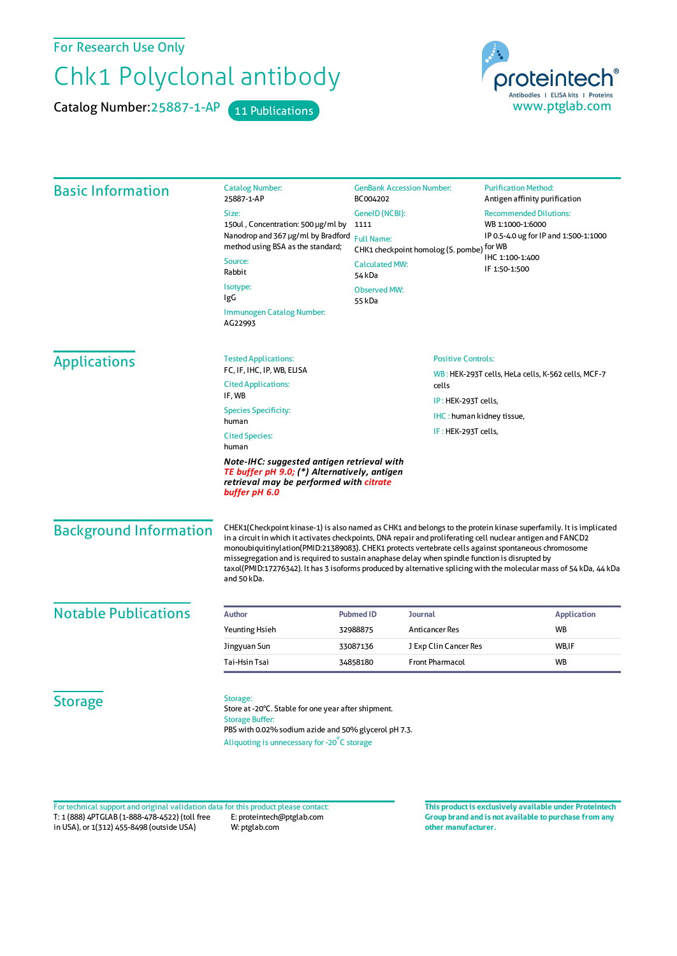For Research Use Only

## Chk1 Polyclonal antibody

Catalog Number: 25887-1-AP 11 Publications



| <b>Basic Information</b>                                                                                                                               | <b>Catalog Number:</b><br>25887-1-AP                                                                                                                                                                                                                                                                                                                                                                                                                                                                                                                                           | <b>GenBank Accession Number:</b><br>BC004202<br>GenelD (NCBI):<br>1111<br><b>Full Name:</b><br>CHK1 checkpoint homolog (S. pombe) for WB<br><b>Calculated MW:</b> |                        | <b>Purification Method:</b><br>Antigen affinity purification                                                  |         |
|--------------------------------------------------------------------------------------------------------------------------------------------------------|--------------------------------------------------------------------------------------------------------------------------------------------------------------------------------------------------------------------------------------------------------------------------------------------------------------------------------------------------------------------------------------------------------------------------------------------------------------------------------------------------------------------------------------------------------------------------------|-------------------------------------------------------------------------------------------------------------------------------------------------------------------|------------------------|---------------------------------------------------------------------------------------------------------------|---------|
|                                                                                                                                                        | Size:                                                                                                                                                                                                                                                                                                                                                                                                                                                                                                                                                                          |                                                                                                                                                                   |                        | <b>Recommended Dilutions:</b><br>WB 1:1000-1:6000<br>IP 0.5-4.0 ug for IP and 1:500-1:1000<br>IHC 1:100-1:400 |         |
|                                                                                                                                                        | 150ul, Concentration: 500 µg/ml by<br>Nanodrop and 367 µg/ml by Bradford<br>method using BSA as the standard;                                                                                                                                                                                                                                                                                                                                                                                                                                                                  |                                                                                                                                                                   |                        |                                                                                                               |         |
|                                                                                                                                                        |                                                                                                                                                                                                                                                                                                                                                                                                                                                                                                                                                                                |                                                                                                                                                                   |                        |                                                                                                               | Source: |
|                                                                                                                                                        | Rabbit                                                                                                                                                                                                                                                                                                                                                                                                                                                                                                                                                                         |                                                                                                                                                                   |                        |                                                                                                               | 54 kDa  |
|                                                                                                                                                        | Isotype:<br>IgG                                                                                                                                                                                                                                                                                                                                                                                                                                                                                                                                                                | <b>Observed MW:</b><br>55 kDa                                                                                                                                     |                        |                                                                                                               |         |
|                                                                                                                                                        | Immunogen Catalog Number:<br>AG22993                                                                                                                                                                                                                                                                                                                                                                                                                                                                                                                                           |                                                                                                                                                                   |                        |                                                                                                               |         |
|                                                                                                                                                        | <b>Applications</b>                                                                                                                                                                                                                                                                                                                                                                                                                                                                                                                                                            | <b>Tested Applications:</b>                                                                                                                                       |                        | <b>Positive Controls:</b>                                                                                     |         |
| FC, IF, IHC, IP, WB, ELISA                                                                                                                             |                                                                                                                                                                                                                                                                                                                                                                                                                                                                                                                                                                                |                                                                                                                                                                   |                        | WB: HEK-293T cells, HeLa cells, K-562 cells, MCF-7                                                            |         |
| <b>Cited Applications:</b><br>cells<br>IF, WB                                                                                                          |                                                                                                                                                                                                                                                                                                                                                                                                                                                                                                                                                                                |                                                                                                                                                                   |                        |                                                                                                               |         |
| <b>Species Specificity:</b>                                                                                                                            |                                                                                                                                                                                                                                                                                                                                                                                                                                                                                                                                                                                | IP: HEK-293T cells,                                                                                                                                               |                        |                                                                                                               |         |
| human                                                                                                                                                  |                                                                                                                                                                                                                                                                                                                                                                                                                                                                                                                                                                                |                                                                                                                                                                   |                        | IHC: human kidney tissue,                                                                                     |         |
| IF: HEK-293T cells,<br><b>Cited Species:</b><br>human                                                                                                  |                                                                                                                                                                                                                                                                                                                                                                                                                                                                                                                                                                                |                                                                                                                                                                   |                        |                                                                                                               |         |
| Note-IHC: suggested antigen retrieval with<br>TE buffer pH 9.0; (*) Alternatively, antigen<br>retrieval may be performed with citrate<br>buffer pH 6.0 |                                                                                                                                                                                                                                                                                                                                                                                                                                                                                                                                                                                |                                                                                                                                                                   |                        |                                                                                                               |         |
| <b>Background Information</b>                                                                                                                          | CHEK1(Checkpoint kinase-1) is also named as CHK1 and belongs to the protein kinase superfamily. It is implicated<br>in a circuit in which it activates checkpoints, DNA repair and proliferating cell nuclear antigen and FANCD2<br>monoubiquitinylation(PMID:21389083). CHEK1 protects vertebrate cells against spontaneous chromosome<br>missegregation and is required to sustain anaphase delay when spindle function is disrupted by<br>taxol(PMID:17276342). It has 3 isoforms produced by alternative splicing with the molecular mass of 54 kDa, 44 kDa<br>and 50 kDa. |                                                                                                                                                                   |                        |                                                                                                               |         |
| <b>Notable Publications</b>                                                                                                                            | <b>Author</b>                                                                                                                                                                                                                                                                                                                                                                                                                                                                                                                                                                  | <b>Pubmed ID</b>                                                                                                                                                  | <b>Journal</b>         | <b>Application</b>                                                                                            |         |
|                                                                                                                                                        | <b>Yeunting Hsieh</b>                                                                                                                                                                                                                                                                                                                                                                                                                                                                                                                                                          | 32988875                                                                                                                                                          | Anticancer Res         | WB                                                                                                            |         |
|                                                                                                                                                        | Jingyuan Sun                                                                                                                                                                                                                                                                                                                                                                                                                                                                                                                                                                   | 33087136                                                                                                                                                          | J Exp Clin Cancer Res  | WB,IF                                                                                                         |         |
|                                                                                                                                                        | Tai-Hsin Tsai                                                                                                                                                                                                                                                                                                                                                                                                                                                                                                                                                                  | 34858180                                                                                                                                                          | <b>Front Pharmacol</b> | WB                                                                                                            |         |
|                                                                                                                                                        |                                                                                                                                                                                                                                                                                                                                                                                                                                                                                                                                                                                |                                                                                                                                                                   |                        |                                                                                                               |         |
| <b>Storage</b>                                                                                                                                         | Storage:<br>Store at -20°C. Stable for one year after shipment.<br><b>Storage Buffer:</b><br>PBS with 0.02% sodium azide and 50% glycerol pH 7.3.                                                                                                                                                                                                                                                                                                                                                                                                                              |                                                                                                                                                                   |                        |                                                                                                               |         |
|                                                                                                                                                        | Aliquoting is unnecessary for -20°C storage                                                                                                                                                                                                                                                                                                                                                                                                                                                                                                                                    |                                                                                                                                                                   |                        |                                                                                                               |         |

T: 1 (888) 4PTGLAB (1-888-478-4522) (toll free in USA), or 1(312) 455-8498 (outside USA) E: proteintech@ptglab.com W: ptglab.com Fortechnical support and original validation data forthis product please contact: **This productis exclusively available under Proteintech**

**Group brand and is not available to purchase from any other manufacturer.**